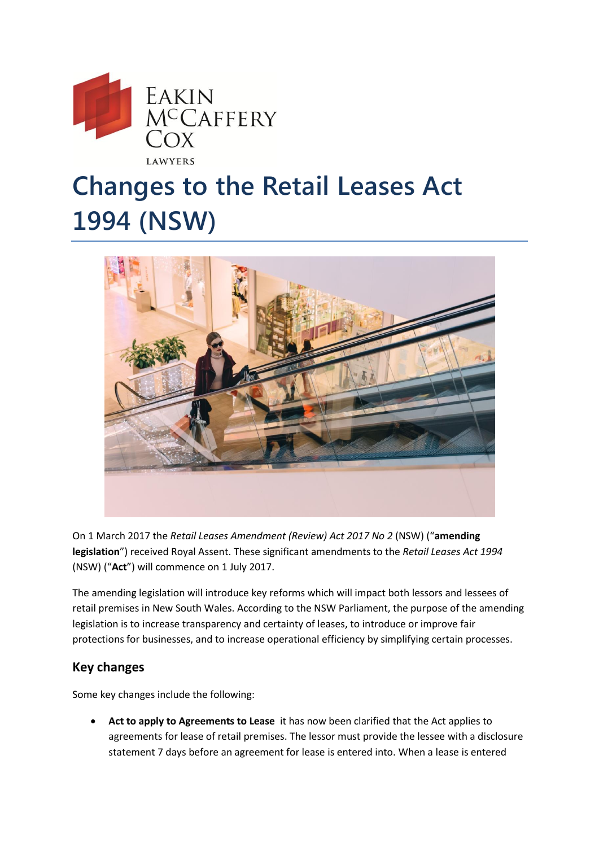

## **Changes to the Retail Leases Act 1994 (NSW)**



On 1 March 2017 the *Retail Leases Amendment (Review) Act 2017 No 2* (NSW) ("**amending legislation**") received Royal Assent. These significant amendments to the *Retail Leases Act 1994* (NSW) ("**Act**") will commence on 1 July 2017.

The amending legislation will introduce key reforms which will impact both lessors and lessees of retail premises in New South Wales. According to the NSW Parliament, the purpose of the amending legislation is to increase transparency and certainty of leases, to introduce or improve fair protections for businesses, and to increase operational efficiency by simplifying certain processes.

## **Key changes**

Some key changes include the following:

 **Act to apply to Agreements to Lease** it has now been clarified that the Act applies to agreements for lease of retail premises. The lessor must provide the lessee with a disclosure statement 7 days before an agreement for lease is entered into. When a lease is entered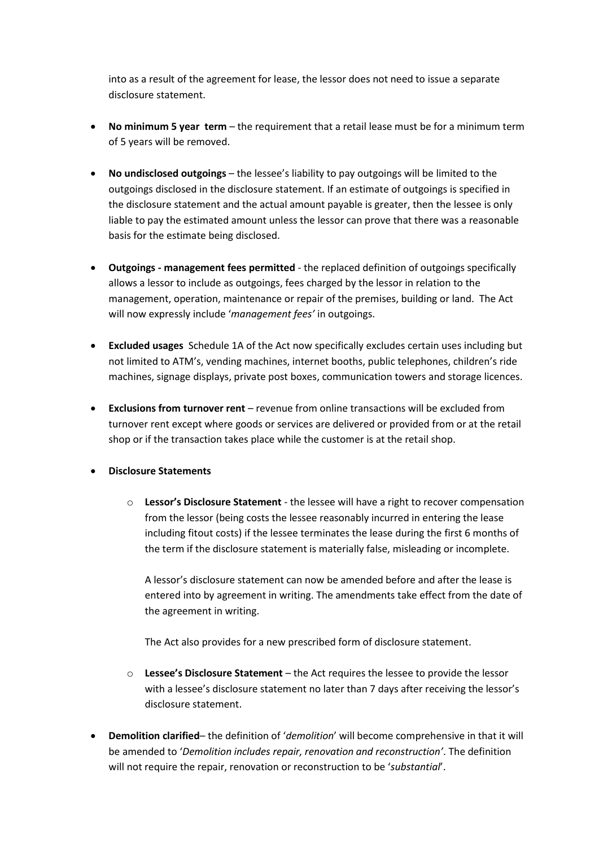into as a result of the agreement for lease, the lessor does not need to issue a separate disclosure statement.

- **No minimum 5 year term** the requirement that a retail lease must be for a minimum term of 5 years will be removed.
- **No undisclosed outgoings**  the lessee's liability to pay outgoings will be limited to the outgoings disclosed in the disclosure statement. If an estimate of outgoings is specified in the disclosure statement and the actual amount payable is greater, then the lessee is only liable to pay the estimated amount unless the lessor can prove that there was a reasonable basis for the estimate being disclosed.
- **Outgoings - management fees permitted** the replaced definition of outgoings specifically allows a lessor to include as outgoings, fees charged by the lessor in relation to the management, operation, maintenance or repair of the premises, building or land. The Act will now expressly include '*management fees'* in outgoings.
- **Excluded usages** Schedule 1A of the Act now specifically excludes certain uses including but not limited to ATM's, vending machines, internet booths, public telephones, children's ride machines, signage displays, private post boxes, communication towers and storage licences.
- **Exclusions from turnover rent**  revenue from online transactions will be excluded from turnover rent except where goods or services are delivered or provided from or at the retail shop or if the transaction takes place while the customer is at the retail shop.
- **Disclosure Statements** 
	- o **Lessor's Disclosure Statement** the lessee will have a right to recover compensation from the lessor (being costs the lessee reasonably incurred in entering the lease including fitout costs) if the lessee terminates the lease during the first 6 months of the term if the disclosure statement is materially false, misleading or incomplete.

A lessor's disclosure statement can now be amended before and after the lease is entered into by agreement in writing. The amendments take effect from the date of the agreement in writing.

The Act also provides for a new prescribed form of disclosure statement.

- o **Lessee's Disclosure Statement**  the Act requires the lessee to provide the lessor with a lessee's disclosure statement no later than 7 days after receiving the lessor's disclosure statement.
- **Demolition clarified** the definition of '*demolition*' will become comprehensive in that it will be amended to '*Demolition includes repair, renovation and reconstruction'*. The definition will not require the repair, renovation or reconstruction to be '*substantial*'.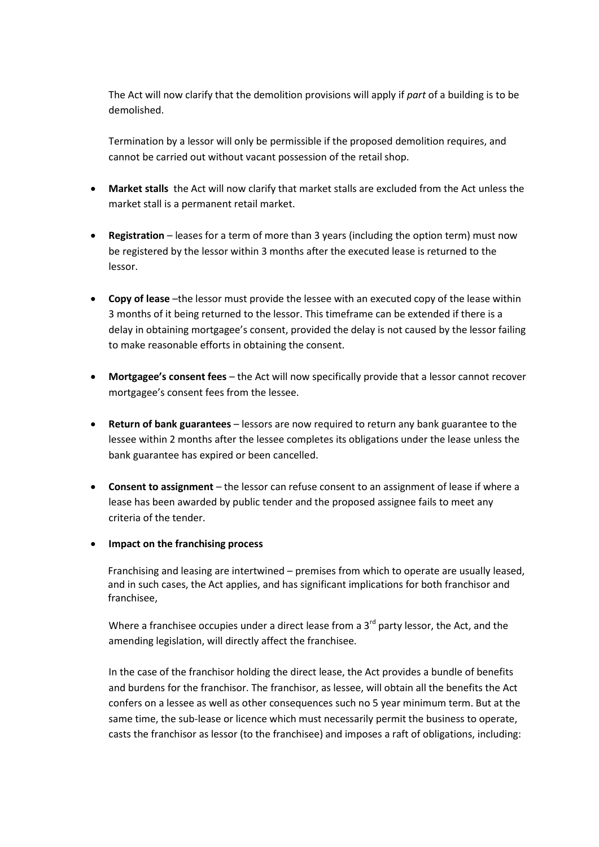The Act will now clarify that the demolition provisions will apply if *part* of a building is to be demolished.

Termination by a lessor will only be permissible if the proposed demolition requires, and cannot be carried out without vacant possession of the retail shop.

- **Market stalls** the Act will now clarify that market stalls are excluded from the Act unless the market stall is a permanent retail market.
- **Registration**  leases for a term of more than 3 years (including the option term) must now be registered by the lessor within 3 months after the executed lease is returned to the lessor.
- **Copy of lease** –the lessor must provide the lessee with an executed copy of the lease within 3 months of it being returned to the lessor. This timeframe can be extended if there is a delay in obtaining mortgagee's consent, provided the delay is not caused by the lessor failing to make reasonable efforts in obtaining the consent.
- **Mortgagee's consent fees**  the Act will now specifically provide that a lessor cannot recover mortgagee's consent fees from the lessee.
- **Return of bank guarantees**  lessors are now required to return any bank guarantee to the lessee within 2 months after the lessee completes its obligations under the lease unless the bank guarantee has expired or been cancelled.
- **Consent to assignment**  the lessor can refuse consent to an assignment of lease if where a lease has been awarded by public tender and the proposed assignee fails to meet any criteria of the tender.

## **Impact on the franchising process**

Franchising and leasing are intertwined – premises from which to operate are usually leased, and in such cases, the Act applies, and has significant implications for both franchisor and franchisee,

Where a franchisee occupies under a direct lease from a  $3<sup>rd</sup>$  party lessor, the Act, and the amending legislation, will directly affect the franchisee.

In the case of the franchisor holding the direct lease, the Act provides a bundle of benefits and burdens for the franchisor. The franchisor, as lessee, will obtain all the benefits the Act confers on a lessee as well as other consequences such no 5 year minimum term. But at the same time, the sub-lease or licence which must necessarily permit the business to operate, casts the franchisor as lessor (to the franchisee) and imposes a raft of obligations, including: